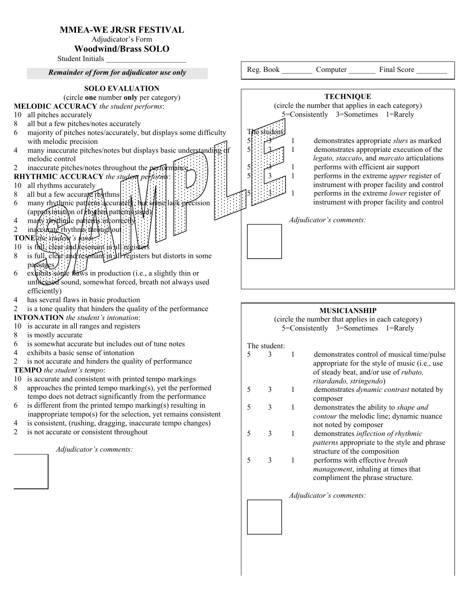# MMEA-WE JR/SR FESTIVAL

Adjudicator's Form

# Woodwind/Brass SOLO

Student Initials

### SOLO EVALUATION (circle one number only per category) MELODIC ACCURACY *the student performs*: 10 all pitches accurately 8 all but a few pitches/notes accurately 6 majority of pitches notes/accurately, but displays some difficulty with melodic precision *Remainder of form for adjudicator use only* The student: Reg. Book Computer Final Score

- 4 many inaccurate pitches/notes but displays basic understanding dimelodic control
- 2 inaccurate pitches/notes throughout the performance
- RHYTHMIC ACCURACY *the student performs*:
- 10 all rhythms accurately
- 8 all but a few accurate  $r$  rhythms
- 6 many rhythmic patterns accurately, but stine lack precision  $(\text{approximation of}$  hythm patterns used)
- 4 many rhythmic patterns incorrectly
- 2 indecurate rhythms throughout
- TONE *the student's tone*:
- $10$  is full, clear and resonant in all register
- 8 is full, clear and responant in all registers but distorts in some passages
- 6 exhibits some flaws in production (i.e., a slightly thin or unfocused sound, somewhat forced, breath not always used efficiently)
- 4 has several flaws in basic production
- 2 is a tone quality that hinders the quality of the performance

# INTONATION *the student's intonation*:

- 10 is accurate in all ranges and registers
- 8 is mostly accurate
- 6 is somewhat accurate but includes out of tune notes
- 4 exhibits a basic sense of intonation
- 2 is not accurate and hinders the quality of performance

# TEMPO *the student's tempo*:

- 10 is accurate and consistent with printed tempo markings
- 8 approaches the printed tempo marking(s), yet the performed tempo does not detract significantly from the performance
- $6$  is different from the printed tempo marking(s) resulting in inappropriate tempo(s) for the selection, yet remains consistent
- 4 is consistent, (rushing, dragging, inaccurate tempo changes)
- 2 is not accurate or consistent throughout

*Adjudicator's comments:*



# MUSICIANSHIP

(circle the number that applies in each category) 5=Consistently 3=Sometimes 1=Rarely

### The student:

| 5 |              |   | demonstrates control of musical time/pulse<br>appropriate for the style of music ( <i>i.e.</i> , use<br>of steady beat, and/or use of <i>rubato</i> ,<br>ritardando, stringendo) |
|---|--------------|---|----------------------------------------------------------------------------------------------------------------------------------------------------------------------------------|
| 5 | 3            | 1 | demonstrates <i>dynamic contrast</i> notated by<br>composer                                                                                                                      |
| 5 | 3            | 1 | demonstrates the ability to <i>shape and</i><br><i>contour</i> the melodic line; dynamic nuance<br>not noted by composer                                                         |
| 5 | $\mathbf{3}$ | 1 | demonstrates inflection of rhythmic<br><i>patterns</i> appropriate to the style and phrase<br>structure of the composition                                                       |
| 5 | $\mathbf{3}$ | 1 | performs with effective breath<br><i>management</i> , inhaling at times that<br>compliment the phrase structure.                                                                 |
|   |              |   | Adjudicator's comments:                                                                                                                                                          |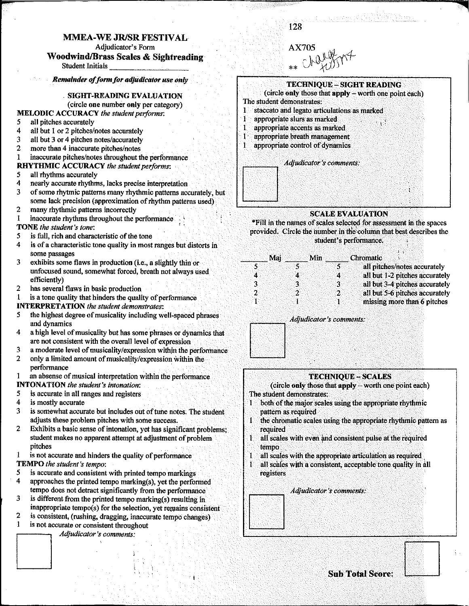### MMEA-WE JR/SR FESTIVAL

Adjudicator's Form

### **Woodwind/Brass Scales & Sightreading**

**Student Initials** 

Remainder of form for adjudicator use only

### **SIGHT-READING EVALUATION**

(circle one number only per category)

# **MELODIC ACCURACY** the student performs:

- all pitches accurately 5
- all but 1 or 2 pitches/notes accurately  $\boldsymbol{4}$
- all but 3 or 4 pitches notes/accurately  $\mathbf{3}$
- more than 4 inaccurate pitches/notes  $\mathbf{2}$
- inaccurate pitches/notes throughout the performance  $\mathbf{1}$
- **RHYTHMIC ACCURACY** the student performs:
- 5 all rhythms accurately
- 4 nearly accurate rhythms, lacks precise interpretation
- 3 of some rhytmic patterns many rhythmic patterns accurately, but some lack precision (approximation of rhythm patterns used)
- $\overline{2}$ many rhythmic patterns incorrectly
- $\mathbf{1}$ inaccurate rhythms throughout the performance
- TONE the student's tone:
- 5 is full, rich and characteristic of the tone
- 4 is of a characteristic tone quality in most ranges but distorts in some passages
- exhibits some flaws in production (i.e., a slightly thin or 3 unfocused sound, somewhat forced, breath not always used efficiently)
- has several flaws in basic production  $\overline{2}$
- is a tone quality that hinders the quality of performance 1

### **INTERPRETATION** the student demonstrates:

- the highest degree of musicality including well-spaced phrases 5 and dynamics
- 4 a high level of musicality but has some phrases or dynamics that are not consistent with the overall level of expression
- 3 a moderate level of musicality/expression within the performance
- $\overline{2}$ only a limited amount of musicality/expression within the performance

an absense of musical interpretation within the performance 1 **INTONATION** the student's intonation:

- is accurate in all ranges and registers 5.
- 4 is mostly accurate
- 3 is somewhat accurate but includes out of tune notes. The student adjusts these problem pitches with some success.
- $\overline{2}$ Exhibits a basic sense of intonation, yet has significant problems; student makes no apparent attempt at adjustment of problem pitches

is not accurate and hinders the quality of performance

**TEMPO** the student's tempo:

- 5 is accurate and consistent with printed tempo markings
- 4 approaches the printed tempo marking(s), yet the performed tempo does not detract significantly from the performance
- is different from the printed tempo marking(s) resulting in 3 inappropriate tempo(s) for the selection, yet remains consistent
- $\overline{2}$ is consistent, (rushing, dragging, inaccurate tempo changes).
- is not accurate or consistent throughout 1

Adjudicator's comments:



128

anii Aleksandri Arra (K



### **SCALE EVALUATION**

\*Fill in the names of scales selected for assessment in the spaces provided. Circle the number in the column that best describes the student's performance.

| Mai | <b>Min</b> | Chromatic                      |
|-----|------------|--------------------------------|
|     |            | all pitches/notes accurately   |
|     | 4<br>А     | all but 1-2 pitches accurately |
|     | વ<br>3.    | all but 3-4 pitches accurately |
|     | つ          | all but 5-6 pitches accurately |
|     |            | missing more than 6 pitches    |
|     |            |                                |

Adjudicator's comments:

### **TECHNIQUE - SCALES**

(circle only those that apply - worth one point each) The student demonstrates:

- both of the major scales using the appropriate rhythmic Ŧ pattern as required
- Ŧ the chromatic scales using the appropriate rhythmic pattern as required
- all scales with even and consistent pulse at the required Ï. tempo
- all scales with the appropriate articulation as required Ŧ
- all scales with a consistent, acceptable tone quality in all T registers

Adjudicator's comments: